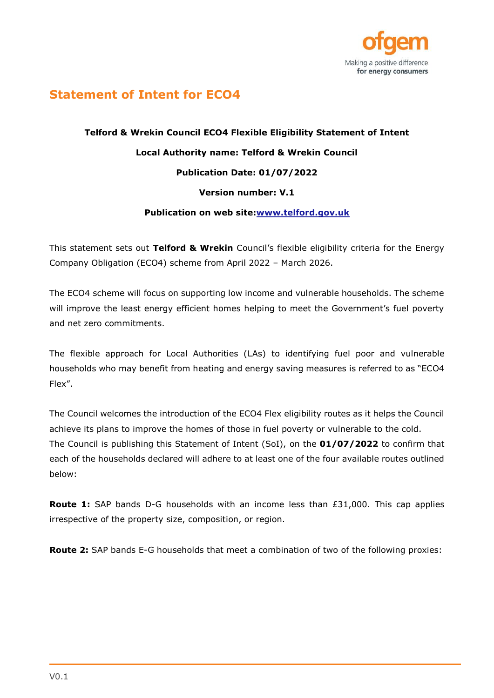

## **Statement of Intent for ECO4**

## **Telford & Wrekin Council ECO4 Flexible Eligibility Statement of Intent Local Authority name: Telford & Wrekin Council Publication Date: 01/07/2022 Version number: V.1 Publication on web site[:www.telford.gov.uk](http://www.telford.gov.uk/)**

This statement sets out **Telford & Wrekin** Council's flexible eligibility criteria for the Energy Company Obligation (ECO4) scheme from April 2022 – March 2026.

The ECO4 scheme will focus on supporting low income and vulnerable households. The scheme will improve the least energy efficient homes helping to meet the Government's fuel poverty and net zero commitments.

The flexible approach for Local Authorities (LAs) to identifying fuel poor and vulnerable households who may benefit from heating and energy saving measures is referred to as "ECO4 Flex".

The Council welcomes the introduction of the ECO4 Flex eligibility routes as it helps the Council achieve its plans to improve the homes of those in fuel poverty or vulnerable to the cold. The Council is publishing this Statement of Intent (SoI), on the **01/07/2022** to confirm that each of the households declared will adhere to at least one of the four available routes outlined below:

**Route 1:** SAP bands D-G households with an income less than £31,000. This cap applies irrespective of the property size, composition, or region.

**Route 2:** SAP bands E-G households that meet a combination of two of the following proxies: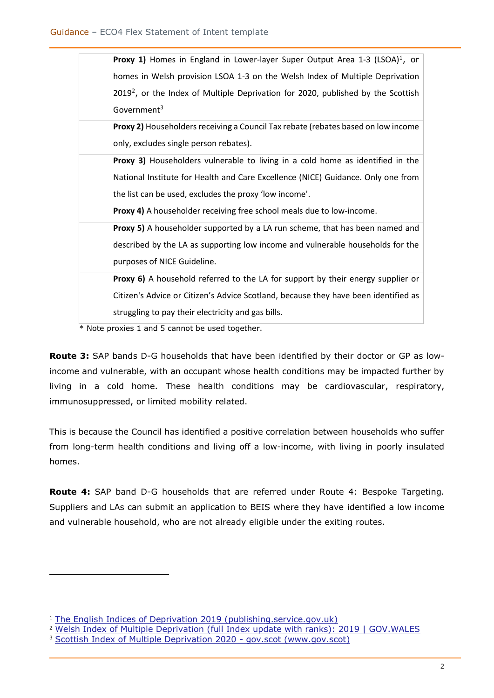| <b>Proxy 1)</b> Homes in England in Lower-layer Super Output Area 1-3 (LSOA) <sup>1</sup> , or |
|------------------------------------------------------------------------------------------------|
| homes in Welsh provision LSOA 1-3 on the Welsh Index of Multiple Deprivation                   |
| $20192$ , or the Index of Multiple Deprivation for 2020, published by the Scottish             |
| Government <sup>3</sup>                                                                        |
| Proxy 2) Householders receiving a Council Tax rebate (rebates based on low income              |
| only, excludes single person rebates).                                                         |
| <b>Proxy 3)</b> Householders vulnerable to living in a cold home as identified in the          |
| National Institute for Health and Care Excellence (NICE) Guidance. Only one from               |
| the list can be used, excludes the proxy 'low income'.                                         |
| Proxy 4) A householder receiving free school meals due to low-income.                          |
| <b>Proxy 5)</b> A householder supported by a LA run scheme, that has been named and            |
| described by the LA as supporting low income and vulnerable households for the                 |
| purposes of NICE Guideline.                                                                    |
| Proxy 6) A household referred to the LA for support by their energy supplier or                |
| Citizen's Advice or Citizen's Advice Scotland, because they have been identified as            |
| struggling to pay their electricity and gas bills.                                             |
| $*$ Note provinc 1 and $5$ cannot be used together                                             |

Note proxies 1 and 5 cannot be used together.

**Route 3:** SAP bands D-G households that have been identified by their doctor or GP as lowincome and vulnerable, with an occupant whose health conditions may be impacted further by living in a cold home. These health conditions may be cardiovascular, respiratory, immunosuppressed, or limited mobility related.

This is because the Council has identified a positive correlation between households who suffer from long-term health conditions and living off a low-income, with living in poorly insulated homes.

**Route 4:** SAP band D-G households that are referred under Route 4: Bespoke Targeting. Suppliers and LAs can submit an application to BEIS where they have identified a low income and vulnerable household, who are not already eligible under the exiting routes.

<sup>&</sup>lt;sup>1</sup> [The English Indices of Deprivation 2019 \(publishing.service.gov.uk\)](https://assets.publishing.service.gov.uk/government/uploads/system/uploads/attachment_data/file/835115/IoD2019_Statistical_Release.pdf)

<sup>&</sup>lt;sup>2</sup> [Welsh Index of Multiple Deprivation \(full Index update with ranks\): 2019 | GOV.WALES](https://gov.wales/welsh-index-multiple-deprivation-full-index-update-ranks-2019)

<sup>&</sup>lt;sup>3</sup> [Scottish Index of Multiple Deprivation 2020 -](https://www.gov.scot/collections/scottish-index-of-multiple-deprivation-2020/) gov.scot (www.gov.scot)